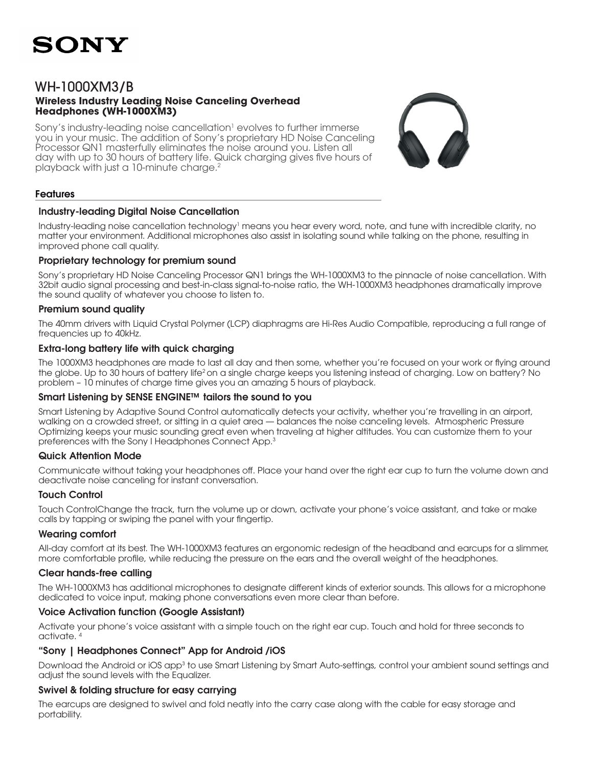

# WH-1000XM3/B **Wireless Industry Leading Noise Canceling Overhead Headphones (WH-1000XM3)**

Sony's industry-leading noise cancellation<sup>1</sup> evolves to further immerse you in your music. The addition of Sony's proprietary HD Noise Canceling Processor QN1 masterfully eliminates the noise around you. Listen all day with up to 30 hours of battery life. Quick charging gives five hours of playback with just a 10-minute charge.2



## Features

### Industry-leading Digital Noise Cancellation

Industry-leading noise cancellation technology<sup>1</sup> means you hear every word, note, and tune with incredible clarity, no matter your environment. Additional microphones also assist in isolating sound while talking on the phone, resulting in improved phone call quality.

### Proprietary technology for premium sound

Sony's proprietary HD Noise Canceling Processor QN1 brings the WH-1000XM3 to the pinnacle of noise cancellation. With 32bit audio signal processing and best-in-class signal-to-noise ratio, the WH-1000XM3 headphones dramatically improve the sound quality of whatever you choose to listen to.

### Premium sound quality

The 40mm drivers with Liquid Crystal Polymer (LCP) diaphragms are Hi-Res Audio Compatible, reproducing a full range of frequencies up to 40kHz.

#### Extra-long battery life with quick charging

The 1000XM3 headphones are made to last all day and then some, whether you're focused on your work or flying around the globe. Up to 30 hours of battery life2 on a single charge keeps you listening instead of charging. Low on battery? No problem – 10 minutes of charge time gives you an amazing 5 hours of playback.

### Smart Listening by SENSE ENGINE™ tailors the sound to you

Smart Listening by Adaptive Sound Control automatically detects your activity, whether you're travelling in an airport, walking on a crowded street, or sitting in a quiet area — balances the noise canceling levels. Atmospheric Pressure Optimizing keeps your music sounding great even when traveling at higher altitudes. You can customize them to your preferences with the Sony I Headphones Connect App.3

### Quick Attention Mode

Communicate without taking your headphones off. Place your hand over the right ear cup to turn the volume down and deactivate noise canceling for instant conversation.

#### Touch Control

Touch ControlChange the track, turn the volume up or down, activate your phone's voice assistant, and take or make calls by tapping or swiping the panel with your fingertip.

### Wearing comfort

All-day comfort at its best. The WH-1000XM3 features an ergonomic redesign of the headband and earcups for a slimmer, more comfortable profile, while reducing the pressure on the ears and the overall weight of the headphones.

### Clear hands-free calling

The WH-1000XM3 has additional microphones to designate different kinds of exterior sounds. This allows for a microphone dedicated to voice input, making phone conversations even more clear than before.

### Voice Activation function (Google Assistant)

Activate your phone's voice assistant with a simple touch on the right ear cup. Touch and hold for three seconds to activate. 4

### "Sony | Headphones Connect" App for Android /iOS

Download the Android or iOS app<sup>3</sup> to use Smart Listening by Smart Auto-settings, control your ambient sound settings and adjust the sound levels with the Equalizer.

### Swivel & folding structure for easy carrying

The earcups are designed to swivel and fold neatly into the carry case along with the cable for easy storage and portability.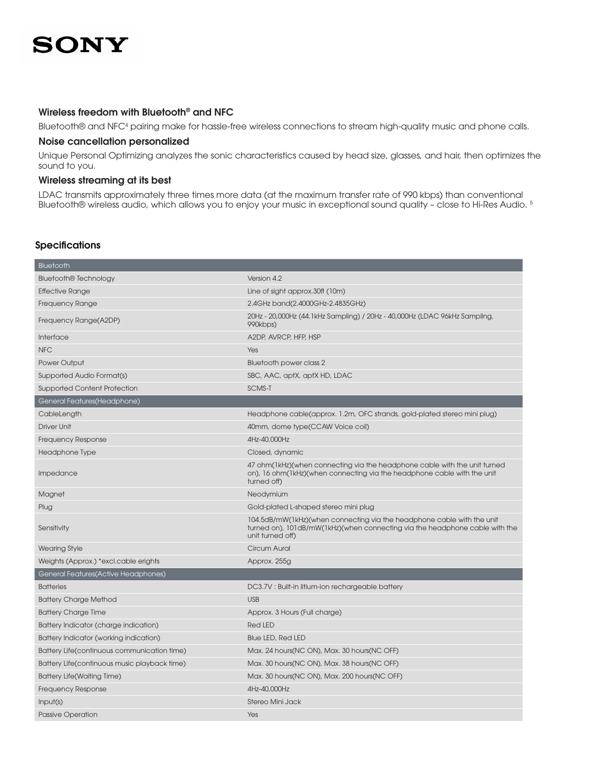# SONY

# Wireless freedom with Bluetooth® and NFC

Bluetooth® and NFC4 pairing make for hassle-free wireless connections to stream high-quality music and phone calls.

#### Noise cancellation personalized

Unique Personal Optimizing analyzes the sonic characteristics caused by head size, glasses, and hair, then optimizes the sound to you.

### Wireless streaming at its best

LDAC transmits approximately three times more data (at the maximum transfer rate of 990 kbps) than conventional Bluetooth® wireless audio, which allows you to enjoy your music in exceptional sound quality – close to Hi-Res Audio. 5

## **Specifications**

| Bluetooth                                    |                                                                                                                                                                           |
|----------------------------------------------|---------------------------------------------------------------------------------------------------------------------------------------------------------------------------|
| <b>Bluetooth® Technology</b>                 | Version 4.2                                                                                                                                                               |
| <b>Effective Range</b>                       | Line of sight approx.30ft (10m)                                                                                                                                           |
| <b>Frequency Range</b>                       | 2.4GHz band(2.4000GHz-2.4835GHz)                                                                                                                                          |
| Frequency Range(A2DP)                        | 20Hz - 20,000Hz (44.1 kHz Sampling) / 20Hz - 40,000Hz (LDAC 96 kHz Sampling,<br>990kbps)                                                                                  |
| Interface                                    | A2DP, AVRCP, HFP, HSP                                                                                                                                                     |
| <b>NFC</b>                                   | Yes                                                                                                                                                                       |
| Power Output                                 | Bluetooth power class 2                                                                                                                                                   |
| Supported Audio Format(s)                    | SBC, AAC, aptX, aptX HD, LDAC                                                                                                                                             |
| <b>Supported Content Protection</b>          | <b>SCMS-T</b>                                                                                                                                                             |
| General Features(Headphone)                  |                                                                                                                                                                           |
| CableLength                                  | Headphone cable(approx. 1.2m, OFC strands, gold-plated stereo mini plug)                                                                                                  |
| <b>Driver Unit</b>                           | 40mm, dome type(CCAW Voice coil)                                                                                                                                          |
| Frequency Response                           | 4Hz-40,000Hz                                                                                                                                                              |
| Headphone Type                               | Closed, dynamic                                                                                                                                                           |
| Impedance                                    | 47 ohm(1kHz)(when connecting via the headphone cable with the unit turned<br>on), 16 ohm(1kHz)(when connecting via the headphone cable with the unit<br>turned off)       |
| Magnet                                       | Neodymium                                                                                                                                                                 |
| Plug                                         | Gold-plated L-shaped stereo mini plug                                                                                                                                     |
| Sensitivity                                  | 104.5dB/mW(1kHz)(when connecting via the headphone cable with the unit<br>turned on), 101dB/mW(1kHz)(when connecting via the headphone cable with the<br>unit turned off) |
| <b>Wearing Style</b>                         | <b>Circum Aural</b>                                                                                                                                                       |
| Weights (Approx.) *excl.cable erights        | Approx. 255g                                                                                                                                                              |
| General Features(Active Headphones)          |                                                                                                                                                                           |
| <b>Batteries</b>                             | DC3.7V: Built-in litium-ion rechargeable battery                                                                                                                          |
| <b>Battery Charge Method</b>                 | <b>USB</b>                                                                                                                                                                |
| <b>Battery Charge Time</b>                   | Approx. 3 Hours (Full charge)                                                                                                                                             |
| Battery Indicator (charge indication)        | <b>Red LED</b>                                                                                                                                                            |
| Battery Indicator (working indication)       | <b>Blue LED, Red LED</b>                                                                                                                                                  |
| Battery Life(continuous communication time)  | Max. 24 hours(NC ON), Max. 30 hours(NC OFF)                                                                                                                               |
| Battery Life(continuous music playback time) | Max. 30 hours(NC ON), Max. 38 hours(NC OFF)                                                                                                                               |
| <b>Battery Life(Waiting Time)</b>            | Max. 30 hours(NC ON), Max. 200 hours(NC OFF)                                                                                                                              |
| <b>Frequency Response</b>                    | 4Hz-40,000Hz                                                                                                                                                              |
| Input(s)                                     | Stereo Mini Jack                                                                                                                                                          |
| <b>Passive Operation</b>                     | Yes                                                                                                                                                                       |